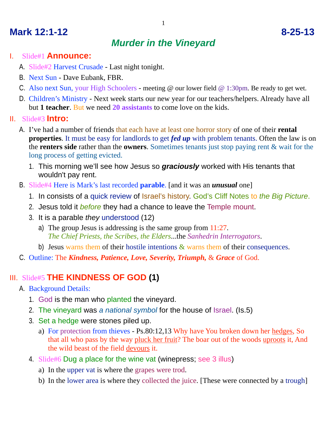# **Mark 12:1-12 8-25-13**

## *Murder in the Vineyard*

- I. Slide#1 **Announce:**
	- A. Slide#2 Harvest Crusade Last night tonight.
	- B. Next Sun Dave Eubank, FBR.
	- C. Also next Sun, your High Schoolers meeting @ our lower field @ 1:30pm. Be ready to get wet.
	- D. Children's Ministry Next week starts our new year for our teachers/helpers. Already have all but **1 teacher**. But we need **20 assistants** to come love on the kids.
- II. Slide#3 **Intro:**
	- A. I've had a number of friends that each have at least one horror story of one of their **rental properties**. It must be easy for landlords to get *fed up* with problem tenants. Often the law is on the **renters side** rather than the **owners**. Sometimes tenants just stop paying rent & wait for the long process of getting evicted.
		- 1. This morning we'll see how Jesus so *graciously* worked with His tenants that wouldn't pay rent.
	- B. Slide#4 Here is Mark's last recorded **parable**. [and it was an *unusual* one]
		- 1. In consists of a quick review of Israel's history. God's Cliff Notes to *the Big Picture*.
		- 2. Jesus told it *before* they had a chance to leave the Temple mount.
		- 3. It is a parable *they* understood (12)
			- a) The group Jesus is addressing is the same group from 11:27. *The Chief Priests, the Scribes, the Elders*...the *Sanhedrin Interrogators*.
			- b) Jesus warns them of their hostile intentions  $\&$  warns them of their consequences.
	- C. Outline: The *Kindness, Patience, Love, Severity, Triumph,* & *Grace* of God.

#### III. Slide#5 **THE KINDNESS OF GOD (1)**

- A. Background Details:
	- 1. God is the man who planted the vineyard.
	- 2. The vineyard was *a national symbol* for the house of Israel. (Is.5)
	- 3. Set a hedge were stones piled up.
		- a) For protection from thieves Ps.80:12,13 Why have You broken down her hedges, So that all who pass by the way pluck her fruit? The boar out of the woods uproots it, And the wild beast of the field devours it.
	- 4. Slide#6 Dug a place for the wine vat (winepress; see 3 illus)
		- a) In the upper vat is where the grapes were trod.
		- b) In the lower area is where they collected the juice. [These were connected by a trough]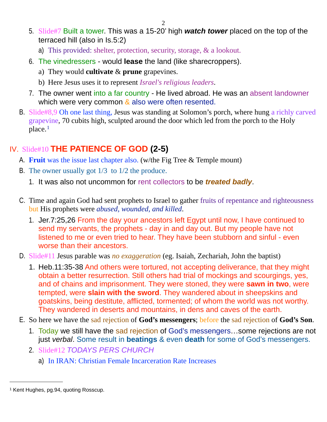- 5. Slide#7 Built a tower. This was a 15-20' high *watch tower* placed on the top of the terraced hill (also in Is.5:2)
	- a) This provided: shelter, protection, security, storage, & a lookout.
- 6. The vinedressers would **lease** the land (like sharecroppers).
	- a) They would **cultivate** & **prune** grapevines.
	- b) Here Jesus uses it to represent *Israel's religious leaders*.
- 7. The owner went into a far country He lived abroad. He was an absent landowner which were very common  $\&$  also were often resented.
- B. Slide#8,9 Oh one last thing, Jesus was standing at Solomon's porch, where hung a richly carved grapevine, 70 cubits high, sculpted around the door which led from the porch to the Holy place.<sup>[1](#page-1-0)</sup>

### IV. Slide#10 **THE PATIENCE OF GOD (2-5)**

- A. **Fruit** was the issue last chapter also. (w/the Fig Tree & Temple mount)
- B. The owner usually got 1/3 to 1/2 the produce.
	- 1. It was also not uncommon for rent collectors to be *treated badly*.
- C. Time and again God had sent prophets to Israel to gather fruits of repentance and righteousness but His prophets were *abused, wounded, and killed*.
	- 1. Jer.7:25,26 From the day your ancestors left Egypt until now, I have continued to send my servants, the prophets - day in and day out. But my people have not listened to me or even tried to hear. They have been stubborn and sinful - even worse than their ancestors.
- D. Slide#11 Jesus parable was *no exaggeration* (eg. Isaiah, Zechariah, John the baptist)
	- 1. Heb.11:35-38 And others were tortured, not accepting deliverance, that they might obtain a better resurrection. Still others had trial of mockings and scourgings, yes, and of chains and imprisonment. They were stoned, they were **sawn in two**, were tempted, were **slain with the sword**. They wandered about in sheepskins and goatskins, being destitute, afflicted, tormented; of whom the world was not worthy. They wandered in deserts and mountains, in dens and caves of the earth.
- E. So here we have the sad rejection of **God's messengers**; before the sad rejection of **God's Son**.
	- 1. Today we still have the sad rejection of God's messengers…some rejections are not just *verbal*. Some result in **beatings** & even **death** for some of God's messengers.
	- 2. Slide#12 *TODAYS PERS CHURCH*
		- a) In IRAN: Christian Female Incarceration Rate Increases

<span id="page-1-0"></span><sup>1</sup> Kent Hughes, pg.94, quoting Rosscup.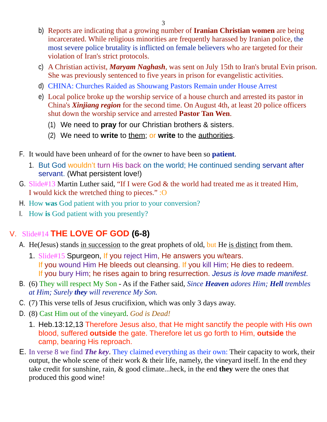- b) Reports are indicating that a growing number of **Iranian Christian women** are being incarcerated. While religious minorities are frequently harassed by Iranian police, the most severe police brutality is inflicted on female believers who are targeted for their violation of Iran's strict protocols.
- c) A Christian activist, *Maryam Naghash*, was sent on July 15th to Iran's brutal Evin prison. She was previously sentenced to five years in prison for evangelistic activities.
- d) CHINA: Churches Raided as Shouwang Pastors Remain under House Arrest
- e) Local police broke up the worship service of a house church and arrested its pastor in China's *Xinjiang region* for the second time. On August 4th, at least 20 police officers shut down the worship service and arrested **Pastor Tan Wen**.
	- (1) We need to **pray** for our Christian brothers & sisters.
	- (2) We need to **write** to them; or **write** to the authorities.
- F. It would have been unheard of for the owner to have been so **patient**.
	- 1. But God wouldn't turn His back on the world; He continued sending servant after servant. (What persistent love!)
- G. Slide#13 Martin Luther said, "If I were God & the world had treated me as it treated Him, I would kick the wretched thing to pieces." :O
- H. How **was** God patient with you prior to your conversion?
- I. How **is** God patient with you presently?

### V. Slide#14 **THE LOVE OF GOD (6-8)**

- A. He(Jesus) stands in succession to the great prophets of old, but He is distinct from them.
	- 1. Slide#15 Spurgeon, If you reject Him, He answers you w/tears. If you wound Him He bleeds out cleansing. If you kill Him; He dies to redeem. If you bury Him; he rises again to bring resurrection. *Jesus is love made manifest*.
- B. (6) They will respect My Son As if the Father said, *Since Heaven adores Him; Hell trembles at Him; Surely they will reverence My Son.*
- C. (7) This verse tells of Jesus crucifixion, which was only 3 days away.
- D. (8) Cast Him out of the vineyard. *God is Dead!*
	- 1. Heb.13:12,13 Therefore Jesus also, that He might sanctify the people with His own blood, suffered **outside** the gate. Therefore let us go forth to Him, **outside** the camp, bearing His reproach.
- E. In verse 8 we find *The key*. They claimed everything as their own: Their capacity to work, their output, the whole scene of their work & their life, namely, the vineyard itself. In the end they take credit for sunshine, rain, & good climate...heck, in the end **they** were the ones that produced this good wine!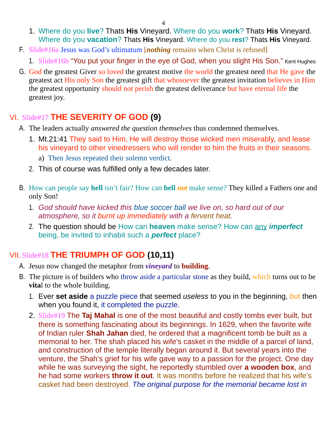- 1. Where do you **live**? Thats **His** Vineyard. Where do you **work**? Thats **His** Vineyard. Where do you **vacation**? Thats **His** Vineyard. Where do you **rest**? Thats **His** Vineyard.
- F. Slide#16a Jesus was God's ultimatum [*nothing* remains when Christ is refused]
	- 1. Slide#16b "You put your finger in the eye of God, when you slight His Son." Kent Hughes
- G. God the greatest Giver so loved the greatest motive the world the greatest need that He gave the greatest act His only Son the greatest gift that whosoever the greatest invitation believes in Him the greatest opportunity should not perish the greatest deliverance but have eternal life the greatest joy.

#### VI. Slide#17 **THE SEVERITY OF GOD (9)**

- A. The leaders actually *answered the question themselves* thus condemned themselves.
	- 1. Mt.21:41 They said to Him, He will destroy those wicked men miserably, and lease his vineyard to other vinedressers who will render to him the fruits in their seasons. a) Then Jesus repeated their solemn verdict.
	- 2. This of course was fulfilled only a few decades later.
- B. How can people say **hell** isn't fair? How can **hell** *not* make sense? They killed a Fathers one and only Son!
	- 1. *God should have kicked this blue soccer ball we live on, so hard out of our atmosphere, so it burnt up immediately with a fervent heat.*
	- 2. The question should be How can **heaven** make sense? How can any *imperfect* being, be invited to inhabit such a *perfect* place?

### VII. Slide#18 **THE TRIUMPH OF GOD (10,11)**

- A. Jesus now changed the metaphor from *vineyard* to **building**.
- B. The picture is of builders who throw aside a particular stone as they build, which turns out to be **vita**l to the whole building.
	- 1. Ever **set aside** a puzzle piece that seemed *useless* to you in the beginning, but then when you found it, it completed the puzzle.
	- 2. Slide#19 The **Taj Mahal** is one of the most beautiful and costly tombs ever built, but there is something fascinating about its beginnings. In 1629, when the favorite wife of Indian ruler **Shah Jahan** died, he ordered that a magnificent tomb be built as a memorial to her. The shah placed his wife's casket in the middle of a parcel of land, and construction of the temple literally began around it. But several years into the venture, the Shah's grief for his wife gave way to a passion for the project. One day while he was surveying the sight, he reportedly stumbled over **a wooden box**, and he had some workers **throw it out**. It was months before he realized that his wife's casket had been destroyed. *The original purpose for the memorial became lost in*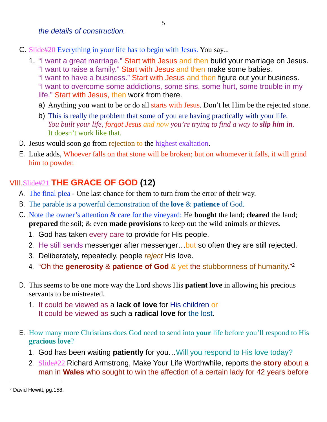- C. Slide#20 Everything in your life has to begin with Jesus. You say...
	- 1. "I want a great marriage." Start with Jesus and then build your marriage on Jesus. "I want to raise a family." Start with Jesus and then make some babies. "I want to have a business." Start with Jesus and then figure out your business. "I want to overcome some addictions, some sins, some hurt, some trouble in my life." Start with Jesus, then work from there.
		- a) Anything you want to be or do all starts with Jesus. Don't let Him be the rejected stone.
		- b) This is really the problem that some of you are having practically with your life. *You built your life, forgot Jesus and now you're trying to find a way to slip him in.*  It doesn't work like that.
- D. Jesus would soon go from rejection to the highest exaltation.
- E. Luke adds, Whoever falls on that stone will be broken; but on whomever it falls, it will grind him to powder.

### VIII.Slide#21 **THE GRACE OF GOD (12)**

- A. The final plea One last chance for them to turn from the error of their way.
- B. The parable is a powerful demonstration of the **love** & **patience** of God.
- C. Note the owner's attention & care for the vineyard: He **bought** the land; **cleared** the land; **prepared** the soil; & even **made provisions** to keep out the wild animals or thieves.
	- 1. God has taken every care to provide for His people.
	- 2. He still sends messenger after messenger... but so often they are still rejected.
	- 3. Deliberately, repeatedly, people *reject* His love.
	- 4. "Oh the **generosity** & **patience of God** & yet the stubbornness of humanity.["2](#page-4-0)
- D. This seems to be one more way the Lord shows His **patient love** in allowing his precious servants to be mistreated.
	- 1. It could be viewed as a **lack of love** for His children or It could be viewed as such a **radical love** for the lost.
- E. How many more Christians does God need to send into **your** life before you'll respond to His **gracious love**?
	- 1. God has been waiting **patiently** for you…Will you respond to His love today?
	- 2. Slide#22 Richard Armstrong, Make Your Life Worthwhile, reports the **story** about a man in **Wales** who sought to win the affection of a certain lady for 42 years before

<span id="page-4-0"></span><sup>2</sup> David Hewitt, pg.158.